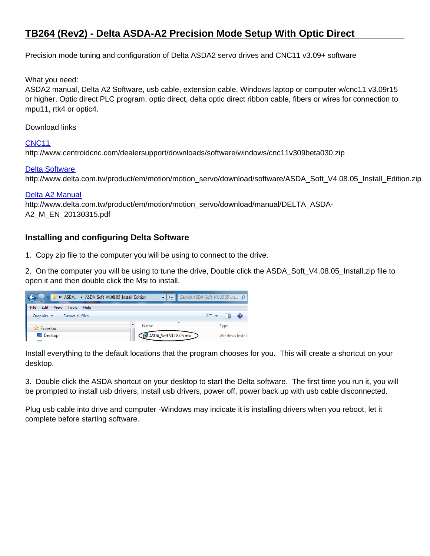# **TB264 (Rev2) - Delta ASDA-A2 Precision Mode Setup With Optic Direct**

Precision mode tuning and configuration of Delta ASDA2 servo drives and CNC11 v3.09+ software

#### What you need:

ASDA2 manual, Delta A2 Software, usb cable, extension cable, Windows laptop or computer w/cnc11 v3.09r15 or higher, Optic direct PLC program, optic direct, delta optic direct ribbon cable, fibers or wires for connection to mpu11, rtk4 or optic4.

#### Download links

#### [CNC11](http://www.centroidcnc.com/dealersupport/downloads/software/windows/cnc11v309beta030.zip)

http://www.centroidcnc.com/dealersupport/downloads/software/windows/cnc11v309beta030.zip

#### [Delta Software](http://www.delta.com.tw/product/em/motion/motion_servo/download/software/ASDA_Soft_V4.08.05_Install_Edition.zip)

http://www.delta.com.tw/product/em/motion/motion\_servo/download/software/ASDA\_Soft\_V4.08.05\_Install\_Edition.zip

#### [Delta A2 Manual](http://www.delta.com.tw/product/em/motion/motion_servo/download/manual/DELTA_ASDA-A2_M_EN_20130315.pdf)

http://www.delta.com.tw/product/em/motion/motion\_servo/download/manual/DELTA\_ASDA-A2\_M\_EN\_20130315.pdf

### **Installing and configuring Delta Software**

1. Copy zip file to the computer you will be using to connect to the drive.

2. On the computer you will be using to tune the drive, Double click the ASDA\_Soft\_V4.08.05\_Install.zip file to open it and then double click the Msi to install.

| « ASDA > ASDA_Soft_V4.08.05_Install_Edition               |                                    | Search ASDA_Soft_V4.08.05_Ins Q |
|-----------------------------------------------------------|------------------------------------|---------------------------------|
| <b>File</b><br>Edit<br>View<br>Tools Help                 |                                    |                                 |
| <b>Extract all files</b><br>Organize $\blacktriangledown$ |                                    | 脂 ▼<br>$\circledcirc$           |
| Favorites                                                 | ∽<br>Name                          | <b>Type</b>                     |
| <b>Desktop</b><br><b>The Contract Contract</b>            | ASDA_Soft V4.08.05.msi<br>________ | <b>Windows Install</b>          |

Install everything to the default locations that the program chooses for you. This will create a shortcut on your desktop.

3. Double click the ASDA shortcut on your desktop to start the Delta software. The first time you run it, you will be prompted to install usb drivers, install usb drivers, power off, power back up with usb cable disconnected.

Plug usb cable into drive and computer -Windows may incicate it is installing drivers when you reboot, let it complete before starting software.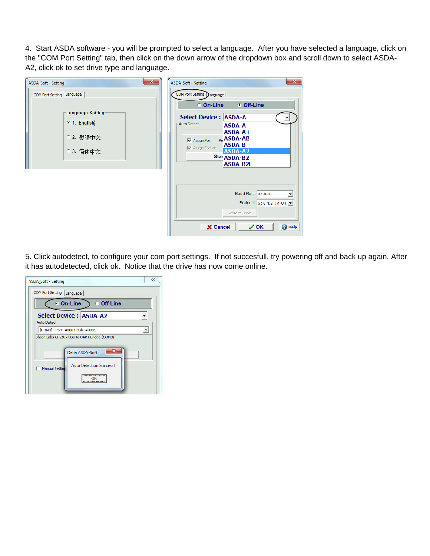4. Start ASDA software - you will be prompted to select a language. After you have selected a language, click on the "COM Port Setting" tab, then click on the down arrow of the dropdown box and scroll down to select ASDA-A2, click ok to set drive type and language.

| $\mathbf{x}$<br>ASDA_Soft - Setting                                                       | $\mathbf{x}$<br>ASDA_Soft - Setting                                                                                                                                                                                                                                                   |
|-------------------------------------------------------------------------------------------|---------------------------------------------------------------------------------------------------------------------------------------------------------------------------------------------------------------------------------------------------------------------------------------|
| COM Port Setting Language<br>Language Setting<br>$C$ 1. English<br>○ 2. 繁體中文<br>○ 3. 简体中文 | COM Port Setting Danguage<br>⊙ Off-Line<br>© On-Line<br><b>Select Device : ASDA-A</b><br>Auto Detect<br><b>ASDA-A</b><br>$ASDA-A+$<br>$_{Po}$ ASDA-AB<br>$\overline{\mathbf{v}}$ Assign Por<br><b>ASDA-B</b><br><b>▽</b> Assign Station<br>ASDA-A2<br>Star ASDA-B2<br><b>ASDA-B2L</b> |
|                                                                                           | Baud Rate: 0: 4800<br>$\overline{\phantom{a}}$<br>Protocol: $6:8,N,2$ (RTU) $\rightarrow$<br>Write to Drive<br>X Cancel<br>$\checkmark$ OK<br><sup>O</sup> Help                                                                                                                       |

5. Click autodetect, to configure your com port settings. If not succesfull, try powering off and back up again. After it has autodetected, click ok. Notice that the drive has now come online.

| $\Sigma$<br><b>ASDA_Soft - Setting</b>                                                                                               |
|--------------------------------------------------------------------------------------------------------------------------------------|
| COM Port Setting   Language                                                                                                          |
| © On-Line<br><b>Off-Line</b>                                                                                                         |
| <b>Select Device : ASDA-A2</b><br><b>Auto Detect</b>                                                                                 |
| [COM3]: Port_#0001.Hub_#0001                                                                                                         |
| Silicon Labs CP210x USB to UART Bridge (COM3)<br>X<br>Delta ASDA-Soft<br><b>Auto Detection Success!</b><br><b>Manual Settini</b><br> |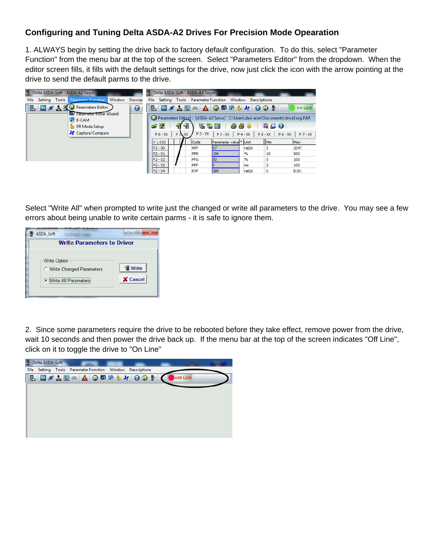# **Configuring and Tuning Delta ASDA-A2 Drives For Precision Mode Opearation**

1. ALWAYS begin by setting the drive back to factory default configuration. To do this, select "Parameter Function" from the menu bar at the top of the screen. Select "Parameters Editor" from the dropdown. When the editor screen fills, it fills with the default settings for the drive, now just click the icon with the arrow pointing at the drive to send the default parms to the drive.

| c<br>Delta ASDA-Soft - ASDA-A2 Servo                                                   | у.<br>Delta ASDA-Soft - ASDA-A2 Servo                                                                         |
|----------------------------------------------------------------------------------------|---------------------------------------------------------------------------------------------------------------|
| Window<br><b>Descript</b><br><b>Tools</b> Parameter Function<br><b>File</b><br>Setting | Setting Tools Parameter Function Window Descriptions<br><b>File</b>                                           |
| <b>MOL</b><br>0<br>區<br><b>C</b> Cal Parameters Editor<br>Parameter Initial Wizard     | 臥<br><b>ØØYDA A©®%∂∤ 00∦</b><br><b>ON LINE</b>                                                                |
| $E$ E-CAM                                                                              | Parameters Editor1 : [ASDA-A2 Servo] C:\Users\dad-acer\Documents\drive1org.PAR                                |
| <b>S</b> PR Mode Setup                                                                 | 必易而<br>888<br>58<br>Q 2 0<br>c H<br>氠                                                                         |
| T Capture/Compare                                                                      | $P7-XX$<br>$P 2 - XX$<br>$P3 - XX$<br>$P_6 - XX$<br>$PQ - XX$<br>$P_1 \times X$<br>$P = 4 - XX$<br>$P_5 - XX$ |
|                                                                                        | Parameter value <sup>*</sup> Unit<br>Min<br>Code<br>V 1.033<br>Max                                            |
|                                                                                        | $P2 - 00$<br><b>KPP</b><br>97<br>rad/s<br>10<br>2047                                                          |
|                                                                                        | $ P2 - 01 $<br><b>PPR</b><br>100<br>500<br>$\frac{9}{6}$<br>10                                                |
|                                                                                        | $ P2 - 02 $<br>50<br><b>PFG</b><br>$\frac{9}{6}$<br>100<br>10                                                 |
|                                                                                        | $P2 - 03$<br>5<br>2<br>PFF<br>100<br>ms                                                                       |
|                                                                                        | $ P2 - 04 $<br>389<br><b>KVP</b><br>10<br>rad/s<br>8191                                                       |

Select "Write All" when prompted to write just the changed or write all parameters to the drive. You may see a few errors about being unable to write certain parms - it is safe to ignore them.

| ASDA_Soft      |                                                                    | $\mathbf{x}$<br>$\blacksquare$ |
|----------------|--------------------------------------------------------------------|--------------------------------|
|                | <b>Write Parameters to Driver</b>                                  |                                |
| Write Option : | <b>C</b> Write Changed Parameters<br><b>C</b> Write All Parameters | <b>Write</b><br>X Cancel       |

2. Since some parameters require the drive to be rebooted before they take effect, remove power from the drive, wait 10 seconds and then power the drive back up. If the menu bar at the top of the screen indicates "Off Line", click on it to toggle the drive to "On Line"

| Delta ASDA-Soft |  |                                                           |  |                 |  |
|-----------------|--|-----------------------------------------------------------|--|-----------------|--|
|                 |  | File Setting Tools Parameter Function Window Descriptions |  |                 |  |
|                 |  | KKSYYTTYNGSYYTTY                                          |  | <b>OFF LINE</b> |  |
|                 |  |                                                           |  |                 |  |
|                 |  |                                                           |  |                 |  |
|                 |  |                                                           |  |                 |  |
|                 |  |                                                           |  |                 |  |
|                 |  |                                                           |  |                 |  |
|                 |  |                                                           |  |                 |  |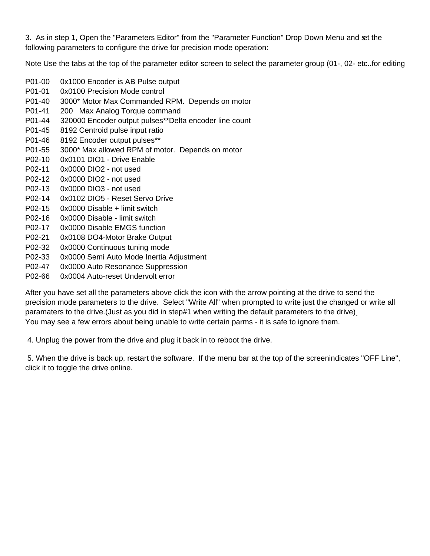3. As in step 1, Open the "Parameters Editor" from the "Parameter Function" Drop Down Menu and set the following parameters to configure the drive for precision mode operation:

Note Use the tabs at the top of the parameter editor screen to select the parameter group (01-, 02- etc..for editing

- P01-00 0x1000 Encoder is AB Pulse output
- P01-01 0x0100 Precision Mode control
- P01-40 3000\* Motor Max Commanded RPM. Depends on motor
- P01-41 200 Max Analog Torque command
- P01-44 320000 Encoder output pulses\*\*Delta encoder line count
- P01-45 8192 Centroid pulse input ratio
- P01-46 8192 Encoder output pulses\*\*
- P01-55 3000\* Max allowed RPM of motor. Depends on motor
- P02-10 0x0101 DIO1 Drive Enable
- P02-11 0x0000 DIO2 not used
- P02-12 0x0000 DIO2 not used
- P02-13 0x0000 DIO3 not used
- P02-14 0x0102 DIO5 Reset Servo Drive
- P02-15 0x0000 Disable + limit switch
- P02-16 0x0000 Disable limit switch
- P02-17 0x0000 Disable EMGS function
- P02-21 0x0108 DO4-Motor Brake Output
- P02-32 0x0000 Continuous tuning mode
- P02-33 0x0000 Semi Auto Mode Inertia Adjustment
- P02-47 0x0000 Auto Resonance Suppression
- P02-66 0x0004 Auto-reset Undervolt error

After you have set all the parameters above click the icon with the arrow pointing at the drive to send the precision mode parameters to the drive. Select "Write All" when prompted to write just the changed or write all paramaters to the drive.(Just as you did in step#1 when writing the default parameters to the drive). You may see a few errors about being unable to write certain parms - it is safe to ignore them.

4. Unplug the power from the drive and plug it back in to reboot the drive.

 5. When the drive is back up, restart the software. If the menu bar at the top of the screen indicates "OFF Line", click it to toggle the drive online.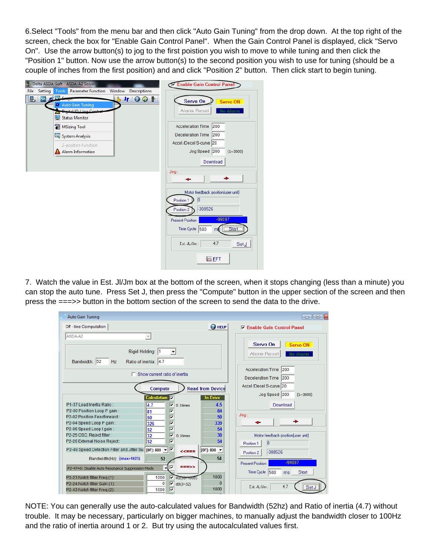6. Select "Tools" from the menu bar and then click "Auto Gain Tuning" from the drop down. At the top right of the screen, check the box for "Enable Gain Control Panel". When the Gain Control Panel is displayed, click "Servo On". Use the arrow button(s) to jog to the first poistion you wish to move to while tuning and then click the "Position 1" button. Now use the arrow button(s) to the second position you wish to use for tuning (should be a couple of inches from the first position) and and click "Position 2" button. Then click start to begin tuning.

|                 |                                  | Delta ASDA-Soft - ASDA-A2 Servo                                                                                                                                  |        |              | To Enable Gain Control Panel                                                                                                                                                              |
|-----------------|----------------------------------|------------------------------------------------------------------------------------------------------------------------------------------------------------------|--------|--------------|-------------------------------------------------------------------------------------------------------------------------------------------------------------------------------------------|
| Setting<br>File | Tools                            | <b>Parameter Function</b>                                                                                                                                        | Window | Descriptions |                                                                                                                                                                                           |
| 區               | M <sub>0</sub> M <sub>cope</sub> | Auto Gain Tuning<br><b>Digital IO</b> / Ing Control<br>Status Monitor<br><b>ASDA</b> MSizing Tool<br>System Analysis<br>Z-position Function<br>Alarm Information | A,     | <b>TOOL</b>  | Servo On<br>Servo ON<br>Alarm Reset<br>No Alarm<br><b>Acceleration Time</b><br>200<br><b>Deceleration Time</b><br>200<br>Accel /Decel S-curve 20<br>Jog Speed 200<br>(1~3000)<br>Download |
|                 |                                  |                                                                                                                                                                  |        |              | : Jog<br>÷                                                                                                                                                                                |
|                 |                                  |                                                                                                                                                                  |        |              | Motor feedback position[user unit]<br>$\vert$ 0<br>Position 1<br>-308526<br>Position 2<br>$-99097$<br><b>Present Position</b>                                                             |
|                 |                                  |                                                                                                                                                                  |        |              | Start.<br>Time Cycle 500<br>m€<br>4.7<br>Est. JL/Jm :<br>Set J<br><b>IA EFT</b>                                                                                                           |

7. Watch the value in Est. Jl/Jm box at the bottom of the screen, when it stops changing (less than a minute) you can stop the auto tune. Press Set J, then press the "Compute" button in the upper section of the screen and then press the ===>> button in the bottom section of the screen to send the data to the drive.

| <b>Auto Gain Tuning</b>                                                                                                                                                                                                                                                                                                                                                                       | $\Box$<br>$\Box$                                                                   |
|-----------------------------------------------------------------------------------------------------------------------------------------------------------------------------------------------------------------------------------------------------------------------------------------------------------------------------------------------------------------------------------------------|------------------------------------------------------------------------------------|
| <sup>2</sup> HELP<br>Off - line Computation                                                                                                                                                                                                                                                                                                                                                   | <b>□ Enable Gain Control Panel</b>                                                 |
| ASDA-A2<br>Rigid Holding: 1<br>$\vert$<br>Bandwidth: 52<br>Ratio of inertia: 4.7<br>Hz                                                                                                                                                                                                                                                                                                        | Servo On<br>Servo ON<br>Alarm Reset<br>No Alarm<br><b>Acceleration Time</b><br>200 |
| Show current ratio of inertia<br><b>Read from Device</b><br>Compute                                                                                                                                                                                                                                                                                                                           | <b>Deceleration Time</b><br>200<br>Accel /Decel S-curve 20                         |
| <b>Calculation</b><br><b>In Drive</b><br>P1-37 Load Inertia Ratio:<br>4.7<br>4.5<br>⊽<br>0.1times<br>$\overline{\mathbf{v}}$<br>P2-00 Position Loop P gain:<br>84<br>81<br>$\overline{\mathbf{v}}$<br>P2-02 Position Feedforward:<br>50<br>50<br>$\overline{\blacktriangledown}$<br>339<br>P2-04 Speed Loop P gain:<br>326<br>$\overline{\mathbf{v}}$<br>54<br>P2-06 Speed Loop I gain:<br>52 | Jog Speed 200<br>(1~3000)<br>Download<br>: Jog                                     |
| $\overline{\mathbf{v}}$<br>P2-25 OSC. Reject filter :<br>30<br>32<br>0.1times<br>⊽<br>54<br>P2-26 External Noise Reject:<br>52                                                                                                                                                                                                                                                                | Motor feedback position[user unit]<br>$\vert 0 \vert$<br>Position 1                |
| [OF]: 800 $\blacktriangledown$ $\sqrt{\triangledown}$<br>P2-49 Speed Detection Filter and Jitter Su<br>[OF]: $800 \rightarrow$<br>$<<===$<br>52<br>54<br>Bandwidth(Hz): (max=1023)                                                                                                                                                                                                            | -308526<br>Position 2<br>$-99097$<br><b>Present Position</b>                       |
| $==>>$<br>⊽<br>P2-47=0: Disable Auto Resonance Suppression Mode<br>1000<br>1000<br>P2-23 Notch filter Freg (1):<br>⊽<br>Hz(50~1000)<br>0<br>$\Omega$<br>⊽<br>P2-24 Notch filter Gain (1):<br>dB(0~32)<br>1000<br>1000<br>P2-43 Notch filter Freg (2):                                                                                                                                         | Time Cycle 500<br>Start<br>ms<br>4.7<br>Est. JL/Jm:<br>Set.                        |

NOTE: You can generally use the auto-calculated values for Bandwidth (52hz) and Ratio of inertia (4.7) without trouble. It may be necessary, particularly on bigger machines, to manually adjust the bandwidth closer to 100Hz and the ratio of inertia around 1 or 2. But try using the autocalculated values first.